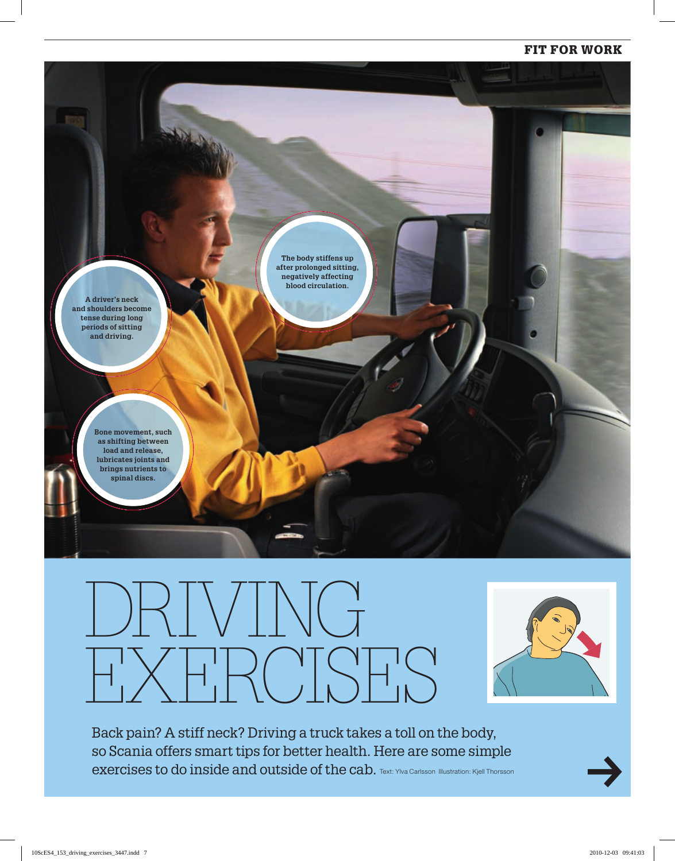#### FIT FOR WORK



# DRIVING EXERCISES



Back pain? A stiff neck? Driving a truck takes a toll on the body, so Scania offers smart tips for better health. Here are some simple exercises to do inside and outside of the cab. Text: Ylva Carlsson Illustration: Kjell Thorsson

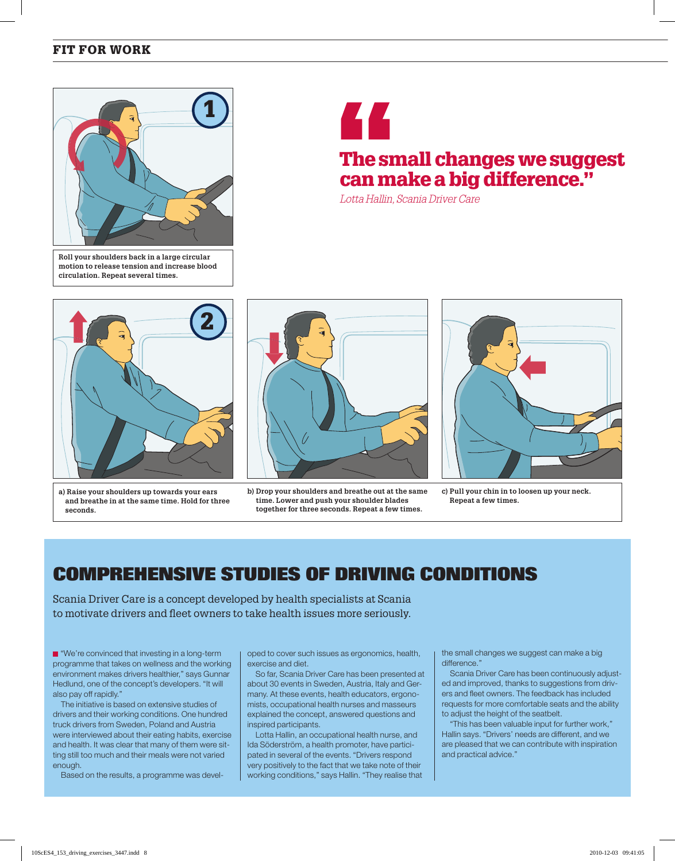### FIT FOR WORK



 **Roll your shoulders back in a large circular motion to release tension and increase blood circulation. Repeat several times.**



## The small changes we suggest can make a big difference."

Lotta Hallin, Scania Driver Care



 **a) Raise your shoulders up towards your ears and breathe in at the same time. Hold for three seconds.**



**b) Drop your shoulders and breathe out at the same time. Lower and push your shoulder blades together for three seconds. Repeat a few times.**



**c) Pull your chin in to loosen up your neck. Repeat a few times.**

## **COMPREHENSIVE STUDIES OF DRIVING CONDITIONS**

Scania Driver Care is a concept developed by health specialists at Scania to motivate drivers and fleet owners to take health issues more seriously.

■ "We're convinced that investing in a long-term programme that takes on wellness and the working environment makes drivers healthier," says Gunnar Hedlund, one of the concept's developers. "It will also pay off rapidly."

The initiative is based on extensive studies of drivers and their working conditions. One hundred truck drivers from Sweden, Poland and Austria were interviewed about their eating habits, exercise and health. It was clear that many of them were sitting still too much and their meals were not varied enough.

Based on the results, a programme was devel-

oped to cover such issues as ergonomics, health, exercise and diet.

So far, Scania Driver Care has been presented at about 30 events in Sweden, Austria, Italy and Germany. At these events, health educators, ergonomists, occupational health nurses and masseurs explained the concept, answered questions and inspired participants.

Lotta Hallin, an occupational health nurse, and Ida Söderström, a health promoter, have participated in several of the events. "Drivers respond very positively to the fact that we take note of their working conditions," says Hallin. "They realise that the small changes we suggest can make a big difference."

Scania Driver Care has been continuously adjusted and improved, thanks to suggestions from drivers and fleet owners. The feedback has included requests for more comfortable seats and the ability to adjust the height of the seatbelt.

"This has been valuable input for further work," Hallin says. "Drivers' needs are different, and we are pleased that we can contribute with inspiration and practical advice."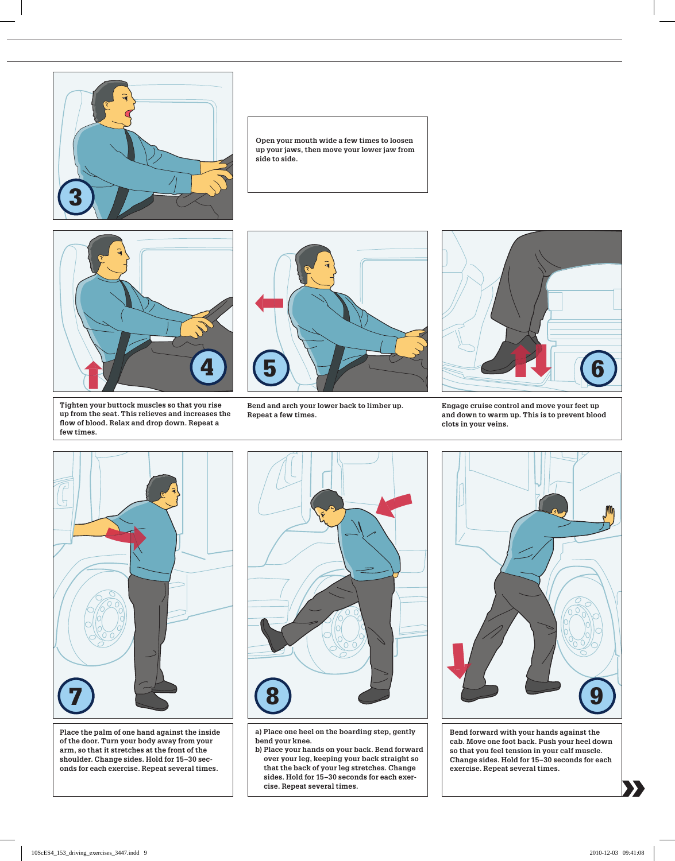

 **Open your mouth wide a few times to loosen up your jaws, then move your lower jaw from side to side.**



**Tighten your buttock muscles so that you rise up from the seat. This relieves and increases the fl ow of blood. Relax and drop down. Repeat a few times.**



 **Bend and arch your lower back to limber up. Repeat a few times.**



 **Engage cruise control and move your feet up and down to warm up. This is to prevent blood clots in your veins.**



 **Place the palm of one hand against the inside of the door. Turn your body away from your arm, so that it stretches at the front of the shoulder. Change sides. Hold for 15–30 seconds for each exercise. Repeat several times.**



**a) Place one heel on the boarding step, gently bend your knee.**

**b) Place your hands on your back. Bend forward over your leg, keeping your back straight so that the back of your leg stretches. Change sides. Hold for 15–30 seconds for each exercise. Repeat several times.**



**Bend forward with your hands against the cab. Move one foot back. Push your heel down so that you feel tension in your calf muscle. Change sides. Hold for 15–30 seconds for each exercise. Repeat several times.**